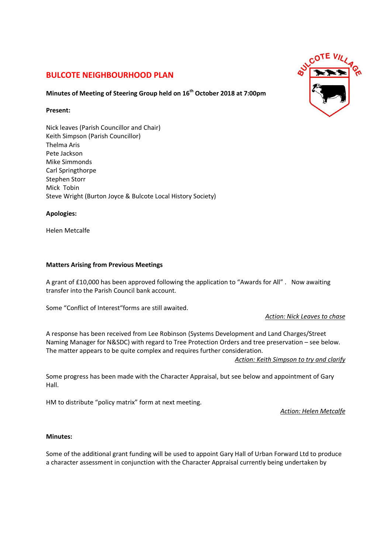# **BULCOTE NEIGHBOURHOOD PLAN**

## **Minutes of Meeting of Steering Group held on 16th October 2018 at 7:00pm**

#### **Present:**

Nick leaves (Parish Councillor and Chair) Keith Simpson (Parish Councillor) Thelma Aris Pete Jackson Mike Simmonds Carl Springthorpe Stephen Storr Mick Tobin Steve Wright (Burton Joyce & Bulcote Local History Society)

#### **Apologies:**

Helen Metcalfe

#### **Matters Arising from Previous Meetings**

A grant of £10,000 has been approved following the application to "Awards for All" . Now awaiting transfer into the Parish Council bank account.

Some "Conflict of Interest"forms are still awaited.

*Action: Nick Leaves to chase*

A response has been received from Lee Robinson (Systems Development and Land Charges/Street Naming Manager for N&SDC) with regard to Tree Protection Orders and tree preservation – see below. The matter appears to be quite complex and requires further consideration.

*Action: Keith Simpson to try and clarify*

Some progress has been made with the Character Appraisal, but see below and appointment of Gary Hall.

HM to distribute "policy matrix" form at next meeting.

*Action: Helen Metcalfe*

#### **Minutes:**

Some of the additional grant funding will be used to appoint Gary Hall of Urban Forward Ltd to produce a character assessment in conjunction with the Character Appraisal currently being undertaken by

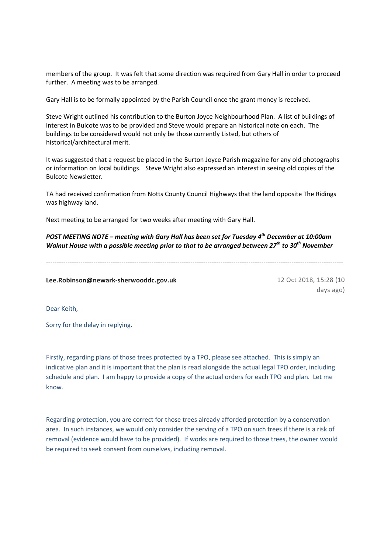members of the group. It was felt that some direction was required from Gary Hall in order to proceed further. A meeting was to be arranged.

Gary Hall is to be formally appointed by the Parish Council once the grant money is received.

Steve Wright outlined his contribution to the Burton Joyce Neighbourhood Plan. A list of buildings of interest in Bulcote was to be provided and Steve would prepare an historical note on each. The buildings to be considered would not only be those currently Listed, but others of historical/architectural merit.

It was suggested that a request be placed in the Burton Joyce Parish magazine for any old photographs or information on local buildings. Steve Wright also expressed an interest in seeing old copies of the Bulcote Newsletter.

TA had received confirmation from Notts County Council Highways that the land opposite The Ridings was highway land.

Next meeting to be arranged for two weeks after meeting with Gary Hall.

*POST MEETING NOTE – meeting with Gary Hall has been set for Tuesday 4th December at 10:00am Walnut House with a possible meeting prior to that to be arranged between 27th to 30th November* 

------------------------------------------------------------------------------------------------------------------------------------------

**Lee.Robinson@newark-sherwooddc.gov.uk** 12 Oct 2018, 15:28 (10

days ago)

Dear Keith,

Sorry for the delay in replying.

Firstly, regarding plans of those trees protected by a TPO, please see attached. This is simply an indicative plan and it is important that the plan is read alongside the actual legal TPO order, including schedule and plan. I am happy to provide a copy of the actual orders for each TPO and plan. Let me know.

Regarding protection, you are correct for those trees already afforded protection by a conservation area. In such instances, we would only consider the serving of a TPO on such trees if there is a risk of removal (evidence would have to be provided). If works are required to those trees, the owner would be required to seek consent from ourselves, including removal.